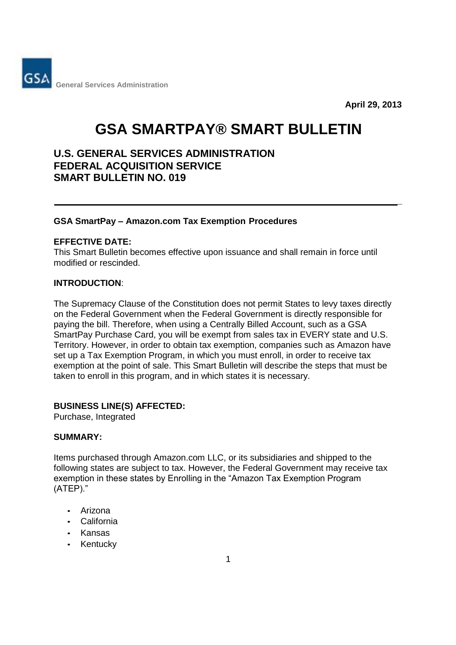

**April 29, 2013**

**\_** 

# **GSA SMARTPAY® SMART BULLETIN**

# **U.S. GENERAL SERVICES ADMINISTRATION FEDERAL ACQUISITION SERVICE SMART BULLETIN NO. 019**

#### **GSA SmartPay – Amazon.com Tax Exemption Procedures**

#### **EFFECTIVE DATE:**

This Smart Bulletin becomes effective upon issuance and shall remain in force until modified or rescinded.

# **INTRODUCTION**:

The Supremacy Clause of the Constitution does not permit States to levy taxes directly on the Federal Government when the Federal Government is directly responsible for paying the bill. Therefore, when using a Centrally Billed Account, such as a GSA SmartPay Purchase Card, you will be exempt from sales tax in EVERY state and U.S. Territory. However, in order to obtain tax exemption, companies such as Amazon have set up a Tax Exemption Program, in which you must enroll, in order to receive tax exemption at the point of sale. This Smart Bulletin will describe the steps that must be taken to enroll in this program, and in which states it is necessary.

# **BUSINESS LINE(S) AFFECTED:**

Purchase, Integrated

#### **SUMMARY:**

Items purchased through Amazon.com LLC, or its subsidiaries and shipped to the following states are subject to tax. However, the Federal Government may receive tax exemption in these states by Enrolling in the "Amazon Tax Exemption Program (ATEP)."

- Arizona
- California
- Kansas
- Kentucky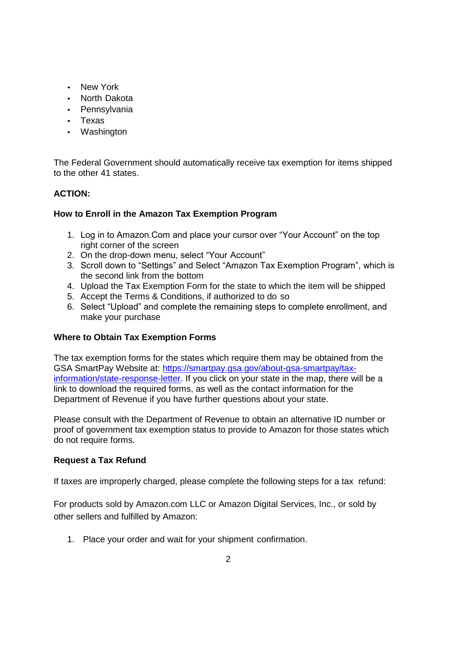- New York
- North Dakota
- Pennsylvania
- Texas
- Washington

The Federal Government should automatically receive tax exemption for items shipped to the other 41 states.

# **ACTION:**

# **How to Enroll in the Amazon Tax Exemption Program**

- 1. Log in to Amazon.Com and place your cursor over "Your Account" on the top right corner of the screen
- 2. On the drop-down menu, select "Your Account"
- 3. Scroll down to "Settings" and Select "Amazon Tax Exemption Program", which is the second link from the bottom
- 4. Upload the Tax Exemption Form for the state to which the item will be shipped
- 5. Accept the Terms & Conditions, if authorized to do so
- 6. Select "Upload" and complete the remaining steps to complete enrollment, and make your purchase

#### **Where to Obtain Tax Exemption Forms**

The tax exemption forms for the states which require them may be obtained from the GSA SmartPay Website at: https://smartpay.gsa.gov/about-gsa-smartpay/taxinformation/state-response-letter. If you click on your state in the map, there will be a link to download the required forms, as well as the contact information for the Department of Revenue if you have further questions about your state.

Please consult with the Department of Revenue to obtain an alternative ID number or proof of government tax exemption status to provide to Amazon for those states which do not require forms.

#### **Request a Tax Refund**

If taxes are improperly charged, please complete the following steps for a tax refund:

For products sold by Amazon.com LLC or Amazon Digital Services, Inc., or sold by other sellers and fulfilled by Amazon:

1. Place your order and wait for your shipment confirmation.